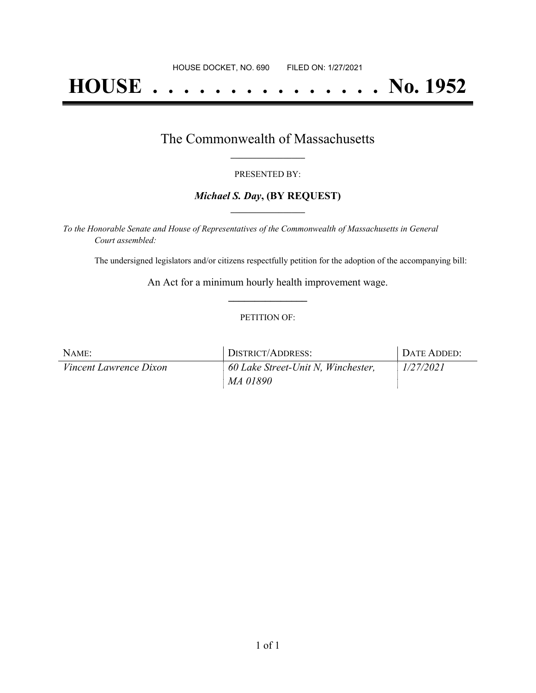# **HOUSE . . . . . . . . . . . . . . . No. 1952**

## The Commonwealth of Massachusetts **\_\_\_\_\_\_\_\_\_\_\_\_\_\_\_\_\_**

#### PRESENTED BY:

#### *Michael S. Day***, (BY REQUEST) \_\_\_\_\_\_\_\_\_\_\_\_\_\_\_\_\_**

*To the Honorable Senate and House of Representatives of the Commonwealth of Massachusetts in General Court assembled:*

The undersigned legislators and/or citizens respectfully petition for the adoption of the accompanying bill:

An Act for a minimum hourly health improvement wage. **\_\_\_\_\_\_\_\_\_\_\_\_\_\_\_**

#### PETITION OF:

| NAME:                         | DISTRICT/ADDRESS:                  | DATE ADDED: |
|-------------------------------|------------------------------------|-------------|
| <i>Vincent Lawrence Dixon</i> | 60 Lake Street-Unit N, Winchester, | 1/27/2021   |
|                               | MA 01890                           |             |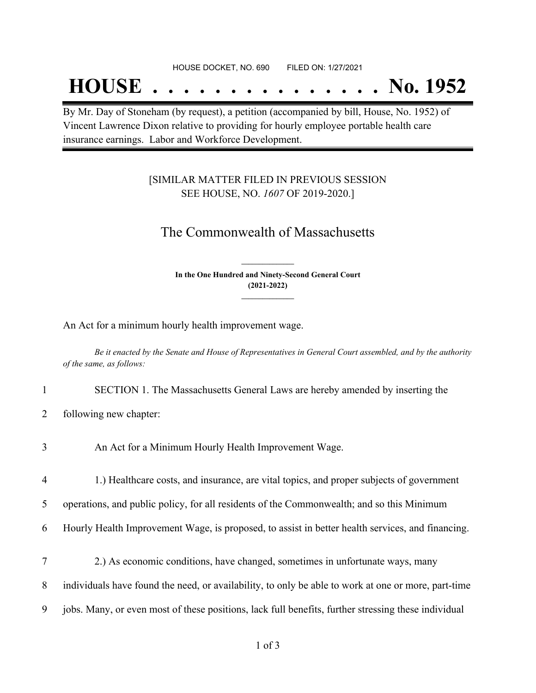## **HOUSE . . . . . . . . . . . . . . . No. 1952**

By Mr. Day of Stoneham (by request), a petition (accompanied by bill, House, No. 1952) of Vincent Lawrence Dixon relative to providing for hourly employee portable health care insurance earnings. Labor and Workforce Development.

### [SIMILAR MATTER FILED IN PREVIOUS SESSION SEE HOUSE, NO. *1607* OF 2019-2020.]

## The Commonwealth of Massachusetts

**In the One Hundred and Ninety-Second General Court (2021-2022) \_\_\_\_\_\_\_\_\_\_\_\_\_\_\_**

**\_\_\_\_\_\_\_\_\_\_\_\_\_\_\_**

An Act for a minimum hourly health improvement wage.

Be it enacted by the Senate and House of Representatives in General Court assembled, and by the authority *of the same, as follows:*

- 1 SECTION 1. The Massachusetts General Laws are hereby amended by inserting the
- 2 following new chapter:
- 3 An Act for a Minimum Hourly Health Improvement Wage.
- 4 1.) Healthcare costs, and insurance, are vital topics, and proper subjects of government

5 operations, and public policy, for all residents of the Commonwealth; and so this Minimum

- 6 Hourly Health Improvement Wage, is proposed, to assist in better health services, and financing.
- 7 2.) As economic conditions, have changed, sometimes in unfortunate ways, many
- 8 individuals have found the need, or availability, to only be able to work at one or more, part-time
- 9 jobs. Many, or even most of these positions, lack full benefits, further stressing these individual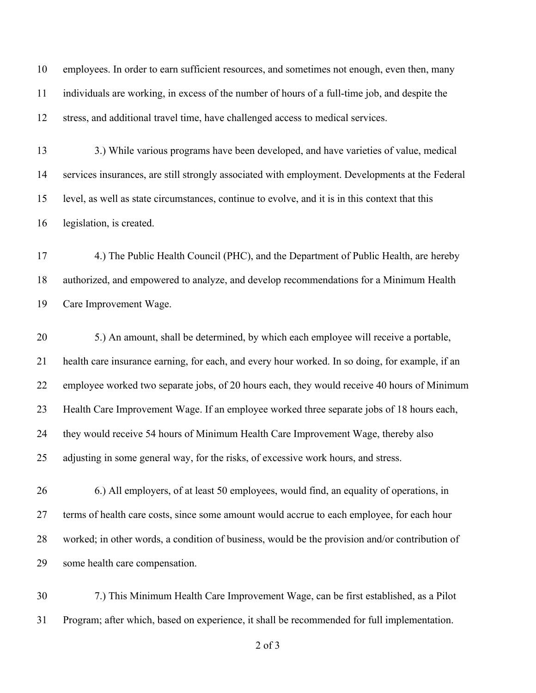employees. In order to earn sufficient resources, and sometimes not enough, even then, many individuals are working, in excess of the number of hours of a full-time job, and despite the stress, and additional travel time, have challenged access to medical services.

13 3.) While various programs have been developed, and have varieties of value, medical services insurances, are still strongly associated with employment. Developments at the Federal level, as well as state circumstances, continue to evolve, and it is in this context that this legislation, is created.

 4.) The Public Health Council (PHC), and the Department of Public Health, are hereby authorized, and empowered to analyze, and develop recommendations for a Minimum Health Care Improvement Wage.

 5.) An amount, shall be determined, by which each employee will receive a portable, health care insurance earning, for each, and every hour worked. In so doing, for example, if an employee worked two separate jobs, of 20 hours each, they would receive 40 hours of Minimum Health Care Improvement Wage. If an employee worked three separate jobs of 18 hours each, they would receive 54 hours of Minimum Health Care Improvement Wage, thereby also adjusting in some general way, for the risks, of excessive work hours, and stress.

 6.) All employers, of at least 50 employees, would find, an equality of operations, in 27 terms of health care costs, since some amount would accrue to each employee, for each hour worked; in other words, a condition of business, would be the provision and/or contribution of some health care compensation.

 7.) This Minimum Health Care Improvement Wage, can be first established, as a Pilot Program; after which, based on experience, it shall be recommended for full implementation.

of 3